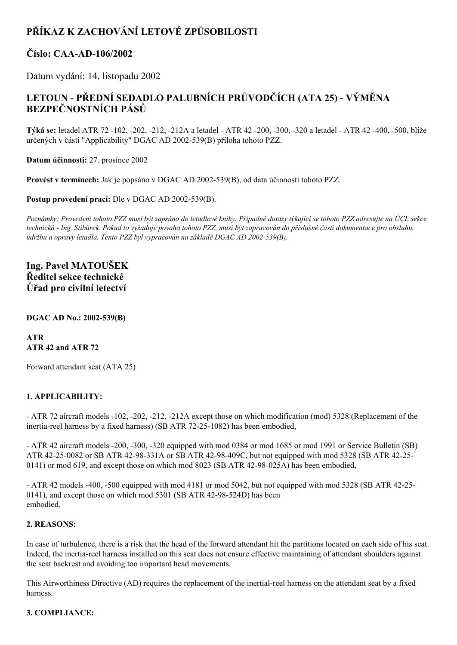# **PŘÍKAZ K ZACHOVÁNÍ LETOVÉ ZPŮSOBILOSTI**

### **Číslo: CAAAD106/2002**

Datum vydání: 14. listopadu 2002

## **LETOUN PŘEDNÍ SEDADLO PALUBNÍCH PRŮVODČÍCH (ATA 25) VÝMĚNA BEZPEČNOSTNÍCH PÁSŮ**

**Týká se:** letadel ATR 72 102, 202, 212, 212A a letadel ATR 42 200, 300, 320 a letadel ATR 42 400, 500, blíže určených v části "Applicability" DGAC AD 2002539(B) příloha tohoto PZZ.

**Datum účinnosti:** 27. prosince 2002

**Provést v termínech:** Jak je popsáno v DGAC AD 2002539(B), od data účinnosti tohoto PZZ.

**Postup provedení prací:** Dle v DGAC AD 2002-539(B).

Poznámky: Provedení tohoto PZZ musí být zapsáno do letadlové knihy. Případné dotazy týkající se tohoto PZZ adresujte na ÚCL sekce technická - Ing. Stibůrek. Pokud to vyžaduje povaha tohoto PZZ, musí být zapracován do příslušné části dokumentace pro obsluhu, *údržbu a opravy letadla. Tento PZZ byl vypracován na základě DGAC AD 2002539(B).*

### **Ing. Pavel MATOUŠEK Ředitel sekce technické Úřad pro civilní letectví**

#### **DGAC AD No.: 2002539(B)**

#### **ATR ATR 42 and ATR 72**

Forward attendant seat (ATA 25)

#### **1. APPLICABILITY:**

 ATR 72 aircraft models 102, 202, 212, 212A except those on which modification (mod) 5328 (Replacement of the inertia-reel harness by a fixed harness) (SB ATR 72-25-1082) has been embodied,

 ATR 42 aircraft models 200, 300, 320 equipped with mod 0384 or mod 1685 or mod 1991 or Service Bulletin (SB) ATR 42-25-0082 or SB ATR 42-98-331A or SB ATR 42-98-409C, but not equipped with mod 5328 (SB ATR 42-25-0141) or mod 619, and except those on which mod  $8023$  (SB ATR 42-98-025A) has been embodied,

 ATR 42 models 400, 500 equipped with mod 4181 or mod 5042, but not equipped with mod 5328 (SB ATR 4225 0141), and except those on which mod  $5301$  (SB ATR 42-98-524D) has been embodied.

#### **2. REASONS:**

In case of turbulence, there is a risk that the head of the forward attendant hit the partitions located on each side of his seat. Indeed, the inertia-reel harness installed on this seat does not ensure effective maintaining of attendant shoulders against the seat backrest and avoiding too important head movements.

This Airworthiness Directive (AD) requires the replacement of the inertial-reel harness on the attendant seat by a fixed harness.

#### **3. COMPLIANCE:**